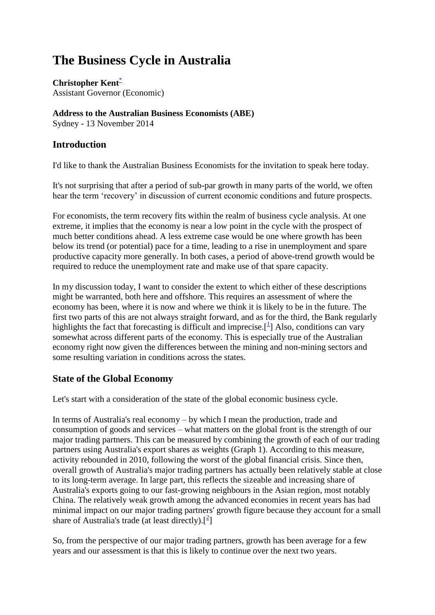# **The Business Cycle in Australia**

**Christopher Kent**[\\*](http://www.rba.gov.au/speeches/2014/sp-ag-131114.html#f) Assistant Governor (Economic)

## **Address to the Australian Business Economists (ABE)**

Sydney - 13 November 2014

## **Introduction**

I'd like to thank the Australian Business Economists for the invitation to speak here today.

It's not surprising that after a period of sub-par growth in many parts of the world, we often hear the term 'recovery' in discussion of current economic conditions and future prospects.

For economists, the term recovery fits within the realm of business cycle analysis. At one extreme, it implies that the economy is near a low point in the cycle with the prospect of much better conditions ahead. A less extreme case would be one where growth has been below its trend (or potential) pace for a time, leading to a rise in unemployment and spare productive capacity more generally. In both cases, a period of above-trend growth would be required to reduce the unemployment rate and make use of that spare capacity.

In my discussion today, I want to consider the extent to which either of these descriptions might be warranted, both here and offshore. This requires an assessment of where the economy has been, where it is now and where we think it is likely to be in the future. The first two parts of this are not always straight forward, and as for the third, the Bank regularly highlights the fact that forecasting is difficult and imprecise.<sup>[\[](http://www.rba.gov.au/speeches/2014/sp-ag-131114.html#f1)1]</sup> Also, conditions can vary somewhat across different parts of the economy. This is especially true of the Australian economy right now given the differences between the mining and non-mining sectors and some resulting variation in conditions across the states.

## **State of the Global Economy**

Let's start with a consideration of the state of the global economic business cycle.

In terms of Australia's real economy – by which I mean the production, trade and consumption of goods and services – what matters on the global front is the strength of our major trading partners. This can be measured by combining the growth of each of our trading partners using Australia's export shares as weights (Graph 1). According to this measure, activity rebounded in 2010, following the worst of the global financial crisis. Since then, overall growth of Australia's major trading partners has actually been relatively stable at close to its long-term average. In large part, this reflects the sizeable and increasing share of Australia's exports going to our fast-growing neighbours in the Asian region, most notably China. The relatively weak growth among the advanced economies in recent years has had minimal impact on our major trading partners' growth figure because they account for a small share of Australia's trade (at least directly). $\left[\frac{2}{3}\right]$  $\left[\frac{2}{3}\right]$ 

So, from the perspective of our major trading partners, growth has been average for a few years and our assessment is that this is likely to continue over the next two years.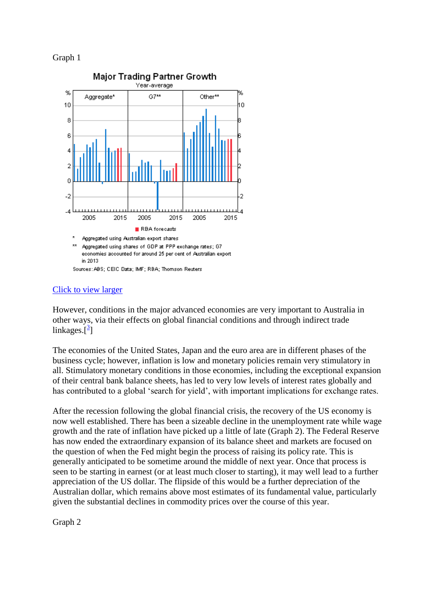#### Graph 1



#### [Click to view larger](http://www.rba.gov.au/speeches/2014/images/sp-ag-131114-graph1.gif)

However, conditions in the major advanced economies are very important to Australia in other ways, via their effects on global financial conditions and through indirect trade linkages. $\left[\frac{3}{2}\right]$  $\left[\frac{3}{2}\right]$  $\left[\frac{3}{2}\right]$ 

The economies of the United States, Japan and the euro area are in different phases of the business cycle; however, inflation is low and monetary policies remain very stimulatory in all. Stimulatory monetary conditions in those economies, including the exceptional expansion of their central bank balance sheets, has led to very low levels of interest rates globally and has contributed to a global 'search for yield', with important implications for exchange rates.

After the recession following the global financial crisis, the recovery of the US economy is now well established. There has been a sizeable decline in the unemployment rate while wage growth and the rate of inflation have picked up a little of late (Graph 2). The Federal Reserve has now ended the extraordinary expansion of its balance sheet and markets are focused on the question of when the Fed might begin the process of raising its policy rate. This is generally anticipated to be sometime around the middle of next year. Once that process is seen to be starting in earnest (or at least much closer to starting), it may well lead to a further appreciation of the US dollar. The flipside of this would be a further depreciation of the Australian dollar, which remains above most estimates of its fundamental value, particularly given the substantial declines in commodity prices over the course of this year.

Graph 2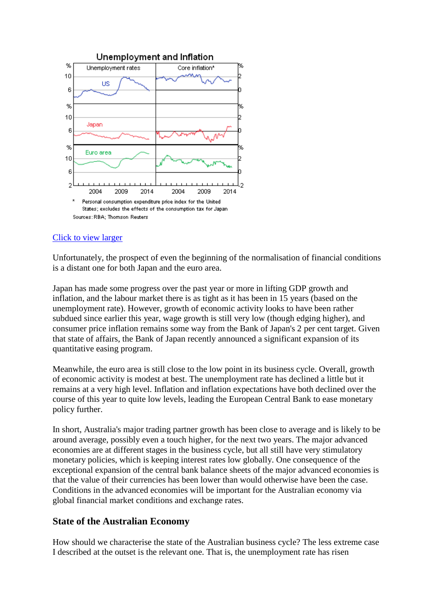

## [Click to view larger](http://www.rba.gov.au/speeches/2014/images/sp-ag-131114-graph2.gif)

Unfortunately, the prospect of even the beginning of the normalisation of financial conditions is a distant one for both Japan and the euro area.

Japan has made some progress over the past year or more in lifting GDP growth and inflation, and the labour market there is as tight as it has been in 15 years (based on the unemployment rate). However, growth of economic activity looks to have been rather subdued since earlier this year, wage growth is still very low (though edging higher), and consumer price inflation remains some way from the Bank of Japan's 2 per cent target. Given that state of affairs, the Bank of Japan recently announced a significant expansion of its quantitative easing program.

Meanwhile, the euro area is still close to the low point in its business cycle. Overall, growth of economic activity is modest at best. The unemployment rate has declined a little but it remains at a very high level. Inflation and inflation expectations have both declined over the course of this year to quite low levels, leading the European Central Bank to ease monetary policy further.

In short, Australia's major trading partner growth has been close to average and is likely to be around average, possibly even a touch higher, for the next two years. The major advanced economies are at different stages in the business cycle, but all still have very stimulatory monetary policies, which is keeping interest rates low globally. One consequence of the exceptional expansion of the central bank balance sheets of the major advanced economies is that the value of their currencies has been lower than would otherwise have been the case. Conditions in the advanced economies will be important for the Australian economy via global financial market conditions and exchange rates.

## **State of the Australian Economy**

How should we characterise the state of the Australian business cycle? The less extreme case I described at the outset is the relevant one. That is, the unemployment rate has risen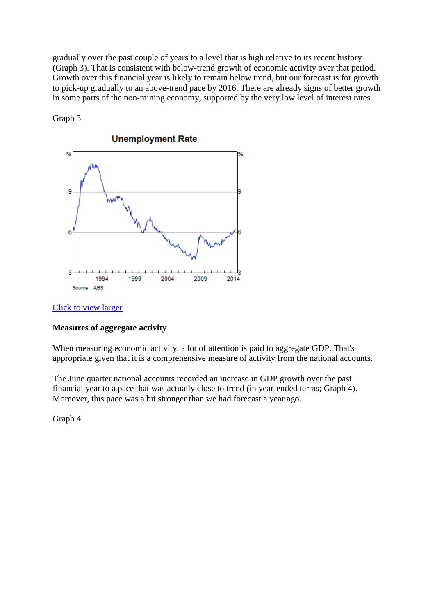gradually over the past couple of years to a level that is high relative to its recent history (Graph 3). That is consistent with below-trend growth of economic activity over that period. Growth over this financial year is likely to remain below trend, but our forecast is for growth to pick-up gradually to an above-trend pace by 2016. There are already signs of better growth in some parts of the non-mining economy, supported by the very low level of interest rates.



Graph 3

#### [Click to view larger](http://www.rba.gov.au/speeches/2014/images/sp-ag-131114-graph3.gif)

#### **Measures of aggregate activity**

When measuring economic activity, a lot of attention is paid to aggregate GDP. That's appropriate given that it is a comprehensive measure of activity from the national accounts.

The June quarter national accounts recorded an increase in GDP growth over the past financial year to a pace that was actually close to trend (in year-ended terms; Graph 4). Moreover, this pace was a bit stronger than we had forecast a year ago.

Graph 4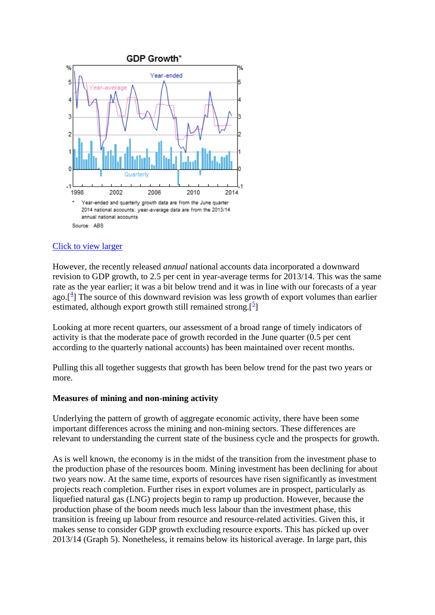

## [Click to view larger](http://www.rba.gov.au/speeches/2014/images/sp-ag-131114-graph4.gif)

However, the recently released *annual* national accounts data incorporated a downward revision to GDP growth, to 2.5 per cent in year-average terms for 2013/14. This was the same rate as the year earlier; it was a bit below trend and it was in line with our forecasts of a year ago. $[$ <sup>4</sup>[\]](http://www.rba.gov.au/speeches/2014/sp-ag-131114.html#f4) The source of this downward revision was less growth of export volumes than earlier estimated, although export growth still remained strong.<sup>[5</sup>[\]](http://www.rba.gov.au/speeches/2014/sp-ag-131114.html#f5)

Looking at more recent quarters, our assessment of a broad range of timely indicators of activity is that the moderate pace of growth recorded in the June quarter (0.5 per cent according to the quarterly national accounts) has been maintained over recent months.

Pulling this all together suggests that growth has been below trend for the past two years or more.

#### **Measures of mining and non-mining activity**

Underlying the pattern of growth of aggregate economic activity, there have been some important differences across the mining and non-mining sectors. These differences are relevant to understanding the current state of the business cycle and the prospects for growth.

As is well known, the economy is in the midst of the transition from the investment phase to the production phase of the resources boom. Mining investment has been declining for about two years now. At the same time, exports of resources have risen significantly as investment projects reach completion. Further rises in export volumes are in prospect, particularly as liquefied natural gas (LNG) projects begin to ramp up production. However, because the production phase of the boom needs much less labour than the investment phase, this transition is freeing up labour from resource and resource-related activities. Given this, it makes sense to consider GDP growth excluding resource exports. This has picked up over 2013/14 (Graph 5). Nonetheless, it remains below its historical average. In large part, this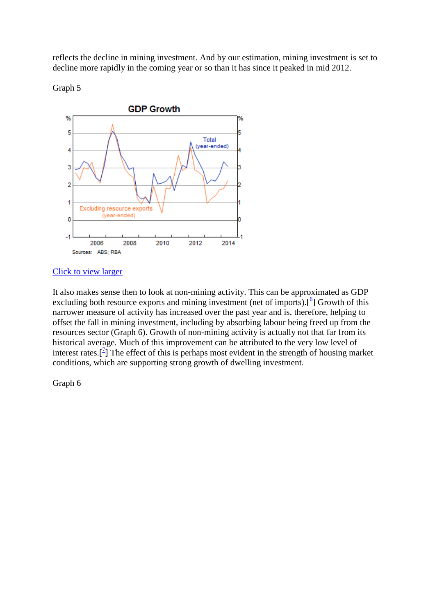reflects the decline in mining investment. And by our estimation, mining investment is set to decline more rapidly in the coming year or so than it has since it peaked in mid 2012.

Graph 5



#### [Click to view larger](http://www.rba.gov.au/speeches/2014/images/sp-ag-131114-graph5.gif)

It also makes sense then to look at non-mining activity. This can be approximated as GDP excluding both resource exports and mining investment (net of imports).<sup>[[6](http://www.rba.gov.au/speeches/2014/sp-ag-131114.html#f6)</sup>] Growth of this narrower measure of activity has increased over the past year and is, therefore, helping to offset the fall in mining investment, including by absorbing labour being freed up from the resources sector (Graph 6). Growth of non-mining activity is actually not that far from its historical average. Much of this improvement can be attributed to the very low level of interest rates.<sup>[ $2$ </sup>] The effect of this is perhaps most evident in the strength of housing market conditions, which are supporting strong growth of dwelling investment.

Graph 6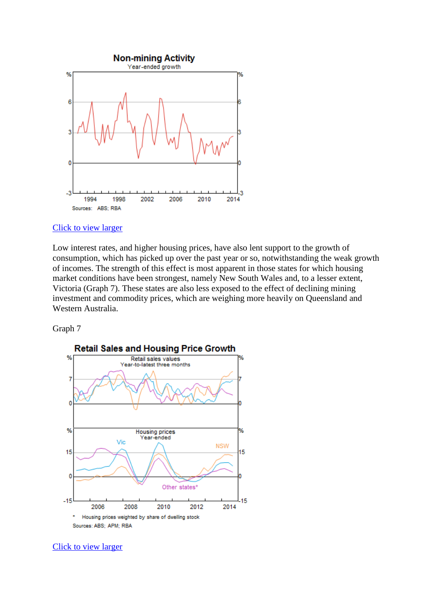

#### [Click to view larger](http://www.rba.gov.au/speeches/2014/images/sp-ag-131114-graph6.gif)

Low interest rates, and higher housing prices, have also lent support to the growth of consumption, which has picked up over the past year or so, notwithstanding the weak growth of incomes. The strength of this effect is most apparent in those states for which housing market conditions have been strongest, namely New South Wales and, to a lesser extent, Victoria (Graph 7). These states are also less exposed to the effect of declining mining investment and commodity prices, which are weighing more heavily on Queensland and Western Australia.

Graph 7



[Click to view larger](http://www.rba.gov.au/speeches/2014/images/sp-ag-131114-graph7.gif)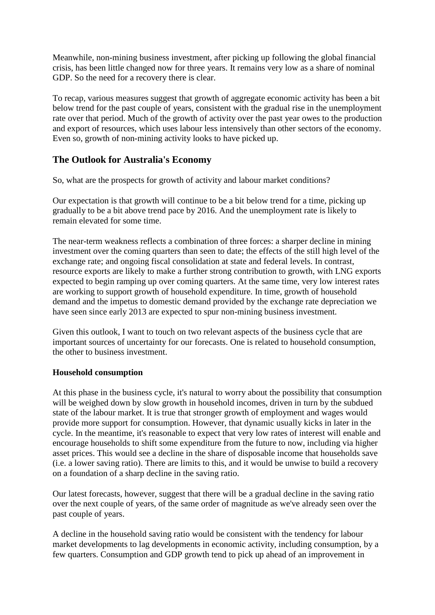Meanwhile, non-mining business investment, after picking up following the global financial crisis, has been little changed now for three years. It remains very low as a share of nominal GDP. So the need for a recovery there is clear.

To recap, various measures suggest that growth of aggregate economic activity has been a bit below trend for the past couple of years, consistent with the gradual rise in the unemployment rate over that period. Much of the growth of activity over the past year owes to the production and export of resources, which uses labour less intensively than other sectors of the economy. Even so, growth of non-mining activity looks to have picked up.

## **The Outlook for Australia's Economy**

So, what are the prospects for growth of activity and labour market conditions?

Our expectation is that growth will continue to be a bit below trend for a time, picking up gradually to be a bit above trend pace by 2016. And the unemployment rate is likely to remain elevated for some time.

The near-term weakness reflects a combination of three forces: a sharper decline in mining investment over the coming quarters than seen to date; the effects of the still high level of the exchange rate; and ongoing fiscal consolidation at state and federal levels. In contrast, resource exports are likely to make a further strong contribution to growth, with LNG exports expected to begin ramping up over coming quarters. At the same time, very low interest rates are working to support growth of household expenditure. In time, growth of household demand and the impetus to domestic demand provided by the exchange rate depreciation we have seen since early 2013 are expected to spur non-mining business investment.

Given this outlook, I want to touch on two relevant aspects of the business cycle that are important sources of uncertainty for our forecasts. One is related to household consumption, the other to business investment.

## **Household consumption**

At this phase in the business cycle, it's natural to worry about the possibility that consumption will be weighed down by slow growth in household incomes, driven in turn by the subdued state of the labour market. It is true that stronger growth of employment and wages would provide more support for consumption. However, that dynamic usually kicks in later in the cycle. In the meantime, it's reasonable to expect that very low rates of interest will enable and encourage households to shift some expenditure from the future to now, including via higher asset prices. This would see a decline in the share of disposable income that households save (i.e. a lower saving ratio). There are limits to this, and it would be unwise to build a recovery on a foundation of a sharp decline in the saving ratio.

Our latest forecasts, however, suggest that there will be a gradual decline in the saving ratio over the next couple of years, of the same order of magnitude as we've already seen over the past couple of years.

A decline in the household saving ratio would be consistent with the tendency for labour market developments to lag developments in economic activity, including consumption, by a few quarters. Consumption and GDP growth tend to pick up ahead of an improvement in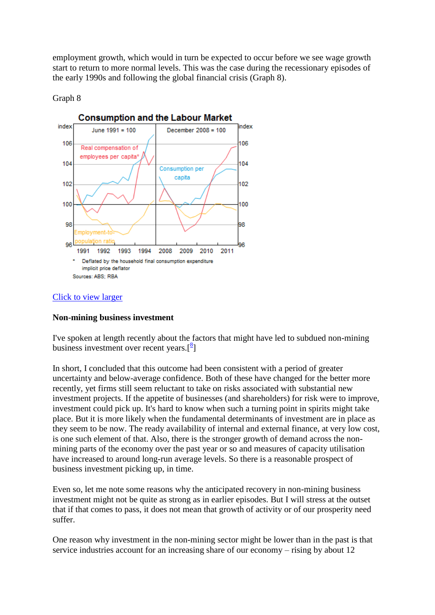employment growth, which would in turn be expected to occur before we see wage growth start to return to more normal levels. This was the case during the recessionary episodes of the early 1990s and following the global financial crisis (Graph 8).

#### Graph 8



## [Click to view larger](http://www.rba.gov.au/speeches/2014/images/sp-ag-131114-graph8.gif)

#### **Non-mining business investment**

I've spoken at length recently about the factors that might have led to subdued non-mining business investment over recent years. $\binom{8}{1}$ 

In short, I concluded that this outcome had been consistent with a period of greater uncertainty and below-average confidence. Both of these have changed for the better more recently, yet firms still seem reluctant to take on risks associated with substantial new investment projects. If the appetite of businesses (and shareholders) for risk were to improve, investment could pick up. It's hard to know when such a turning point in spirits might take place. But it is more likely when the fundamental determinants of investment are in place as they seem to be now. The ready availability of internal and external finance, at very low cost, is one such element of that. Also, there is the stronger growth of demand across the nonmining parts of the economy over the past year or so and measures of capacity utilisation have increased to around long-run average levels. So there is a reasonable prospect of business investment picking up, in time.

Even so, let me note some reasons why the anticipated recovery in non-mining business investment might not be quite as strong as in earlier episodes. But I will stress at the outset that if that comes to pass, it does not mean that growth of activity or of our prosperity need suffer.

One reason why investment in the non-mining sector might be lower than in the past is that service industries account for an increasing share of our economy – rising by about 12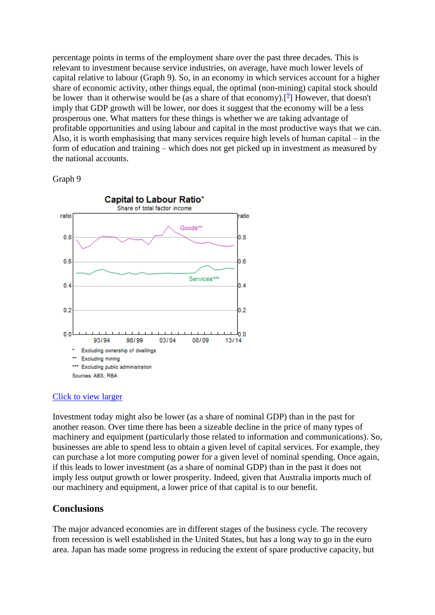percentage points in terms of the employment share over the past three decades. This is relevant to investment because service industries, on average, have much lower levels of capital relative to labour (Graph 9). So, in an economy in which services account for a higher share of economic activity, other things equal, the optimal (non-mining) capital stock should be lower than it otherwise would be (as a share of that economy).<sup>[\[](http://www.rba.gov.au/speeches/2014/sp-ag-131114.html#f9)9]</sup> However, that doesn't imply that GDP growth will be lower, nor does it suggest that the economy will be a less prosperous one. What matters for these things is whether we are taking advantage of profitable opportunities and using labour and capital in the most productive ways that we can. Also, it is worth emphasising that many services require high levels of human capital – in the form of education and training – which does not get picked up in investment as measured by the national accounts.

#### Graph 9



## [Click to view larger](http://www.rba.gov.au/speeches/2014/images/sp-ag-131114-graph9.gif)

Investment today might also be lower (as a share of nominal GDP) than in the past for another reason. Over time there has been a sizeable decline in the price of many types of machinery and equipment (particularly those related to information and communications). So, businesses are able to spend less to obtain a given level of capital services. For example, they can purchase a lot more computing power for a given level of nominal spending. Once again, if this leads to lower investment (as a share of nominal GDP) than in the past it does not imply less output growth or lower prosperity. Indeed, given that Australia imports much of our machinery and equipment, a lower price of that capital is to our benefit.

## **Conclusions**

The major advanced economies are in different stages of the business cycle. The recovery from recession is well established in the United States, but has a long way to go in the euro area. Japan has made some progress in reducing the extent of spare productive capacity, but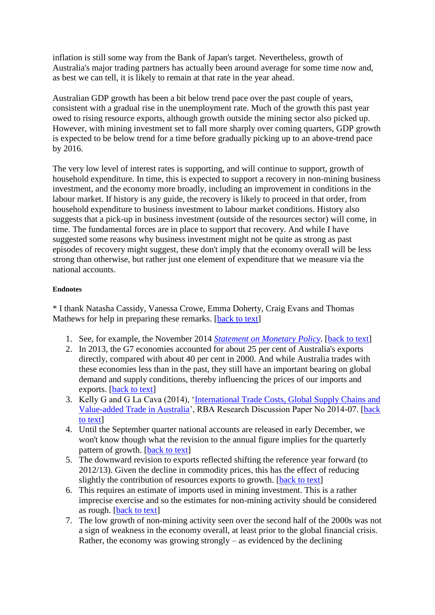inflation is still some way from the Bank of Japan's target. Nevertheless, growth of Australia's major trading partners has actually been around average for some time now and, as best we can tell, it is likely to remain at that rate in the year ahead.

Australian GDP growth has been a bit below trend pace over the past couple of years, consistent with a gradual rise in the unemployment rate. Much of the growth this past year owed to rising resource exports, although growth outside the mining sector also picked up. However, with mining investment set to fall more sharply over coming quarters, GDP growth is expected to be below trend for a time before gradually picking up to an above-trend pace by 2016.

The very low level of interest rates is supporting, and will continue to support, growth of household expenditure. In time, this is expected to support a recovery in non-mining business investment, and the economy more broadly, including an improvement in conditions in the labour market. If history is any guide, the recovery is likely to proceed in that order, from household expenditure to business investment to labour market conditions. History also suggests that a pick-up in business investment (outside of the resources sector) will come, in time. The fundamental forces are in place to support that recovery. And while I have suggested some reasons why business investment might not be quite as strong as past episodes of recovery might suggest, these don't imply that the economy overall will be less strong than otherwise, but rather just one element of expenditure that we measure via the national accounts.

#### **Endnotes**

\* I thank Natasha Cassidy, Vanessa Crowe, Emma Doherty, Craig Evans and Thomas Mathews for help in preparing these remarks. [\[back to text\]](http://www.rba.gov.au/speeches/2014/sp-ag-131114.html#content)

- 1. See, for example, the November 2014 *[Statement on Monetary Policy](http://www.rba.gov.au/publications/smp/2014/nov/html/index.html)*. [\[back to text\]](http://www.rba.gov.au/speeches/2014/sp-ag-131114.html#t1)
- 2. In 2013, the G7 economies accounted for about 25 per cent of Australia's exports directly, compared with about 40 per cent in 2000. And while Australia trades with these economies less than in the past, they still have an important bearing on global demand and supply conditions, thereby influencing the prices of our imports and exports. [\[back to text\]](http://www.rba.gov.au/speeches/2014/sp-ag-131114.html#t2)
- 3. Kelly G and G La Cava (2014), ['International Trade Costs, Global Supply Chains and](http://www.rba.gov.au/publications/rdp/2014/2014-07.html)  [Value-added Trade in Australia'](http://www.rba.gov.au/publications/rdp/2014/2014-07.html), RBA Research Discussion Paper No 2014-07. [\[back](http://www.rba.gov.au/speeches/2014/sp-ag-131114.html#t3)  [to text\]](http://www.rba.gov.au/speeches/2014/sp-ag-131114.html#t3)
- 4. Until the September quarter national accounts are released in early December, we won't know though what the revision to the annual figure implies for the quarterly pattern of growth. [\[back to text\]](http://www.rba.gov.au/speeches/2014/sp-ag-131114.html#t4)
- 5. The downward revision to exports reflected shifting the reference year forward (to 2012/13). Given the decline in commodity prices, this has the effect of reducing slightly the contribution of resources exports to growth. [\[back to text\]](http://www.rba.gov.au/speeches/2014/sp-ag-131114.html#t5)
- 6. This requires an estimate of imports used in mining investment. This is a rather imprecise exercise and so the estimates for non-mining activity should be considered as rough. [\[back to text\]](http://www.rba.gov.au/speeches/2014/sp-ag-131114.html#t6)
- 7. The low growth of non-mining activity seen over the second half of the 2000s was not a sign of weakness in the economy overall, at least prior to the global financial crisis. Rather, the economy was growing strongly – as evidenced by the declining